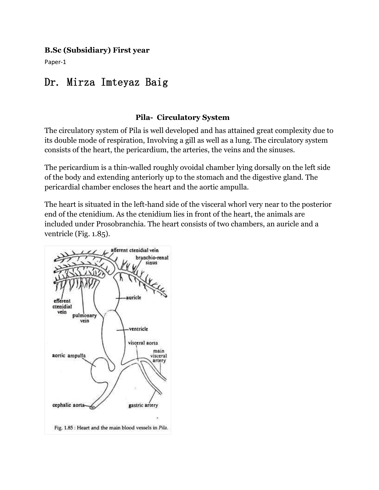#### **B.Sc (Subsidiary) First year**

Paper-1

# Dr. Mirza [Imteyaz](https://www.notesonzoology.com/wp-content/uploads/2016/07/clip_image032_thumb2-4.jpg) Baig

#### **Pila- Circulatory System**

The circulatory system of Pila is well developed and has attained great complexity due to its double mode of respiration, Involving a gill as well as a lung. The circulatory system consists of the heart, the pericardium, the arteries, the veins and the sinuses.

The pericardium is a thin-walled roughly ovoidal chamber lying dorsally on the left side of the body and extending anteriorly up to the stomach and the digestive gland. The pericardial chamber encloses the heart and the aortic ampulla.

The heart is situated in the left-hand side of the visceral whorl very near to the posterior end of the ctenidium. As the ctenidium lies in front of the heart, the animals are included under Prosobranchia. The heart consists of two chambers, an auricle and a ventricle (Fig. 1.85).

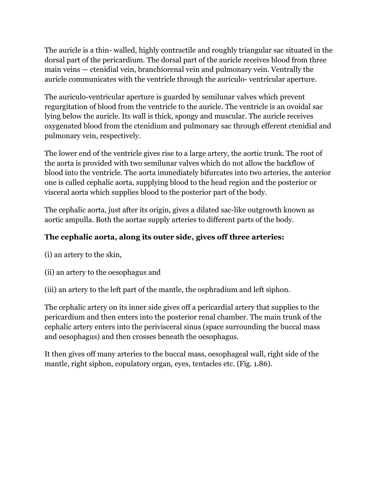The auricle is a thin-walled, highly contractile and roughly triangular sac situated in the dorsal part of the pericardium. The dorsal part of the auricle receives blood from three main veins — ctenidial vein, branchiorenal vein and pulmonary vein. Ventrally the auricle communicates with the ventricle through the auriculo- ventricular aperture.

The [auriculo-ventricular](https://www.notesonzoology.com/wp-content/uploads/2016/07/clip_image032_thumb2-4.jpg) aperture isguarded by semilunar valves which prevent regurgitation of blood from the ventricle to the auricle. The ventricle is an ovoidal sac lying below the auricle. Its wall is thick, spongy and muscular. The auricle receives oxygenated blood from the ctenidium and pulmonary sac through efferent ctenidial and pulmonary vein, respectively.

The lower end of the ventricle gives rise to alarge artery, the aortic trunk. The root of the aorta is provided with two semilunar valves which do not allow the backflow of blood into the ventricle. The aorta immediately bifurcates into two arteries, the anterior one iscalled cephalic aorta, supplying blood to the head region and the posterior or visceral aorta which supplies blood to the posterior part of the body.

The cephalic aorta, just after its origin, gives a dilated sac-like outgrowth known as aortic ampulla. Both the aortae supply arteries to different parts of the body.

## **The cephalic aorta, along its outer side, gives off three arteries:**

- (i) an artery to the skin,
- (ii) an artery to the oesophagus and
- (iii) an artery to the left part of the mantle, the osphradium and left siphon.

The cephalic artery on its inner side gives off a pericardial artery that supplies to the pericardium and then enters into the posterior renal chamber. The main trunk of the cephalic artery enters into the perivisceral sinus (space surrounding the buccal mass and [oesophagus\)](https://www.notesonzoology.com/wp-content/uploads/2016/07/clip_image030_thumb2-4.jpg) and then crosses beneath the oesophagus.

It then gives off many arteries to the buccal mass, oesophageal wall, right side of the mantle, right siphon, copulatory organ, eyes, tentacles etc. (Fig. 1.86).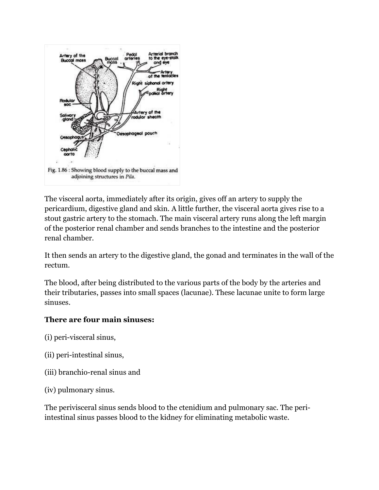

The visceral aorta, immediately after its origin, gives off an artery to supply the pericardium, digestive gland and skin. A little further, the visceral aorta gives rise to a stout gastric artery to the stomach. The main visceral artery runs along the left margin of the posterior renal chamber and sendsbranches to the intestine and the posterior renal chamber.

It then sends an artery to the digestive gland, the gonad and terminates in the wall of the rectum.

The blood, after being distributed to the various parts of the body by the arteries and their tributaries, passes into small spaces (lacunae). These lacunae unite to form large sinuses.

#### **There are four main sinuses:**

- (i) peri-visceral sinus,
- (ii) peri-intestinal sinus,
- (iii) [branchio-renal](https://www.notesonzoology.com/wp-content/uploads/2016/07/clip_image030_thumb2-4.jpg) sinus and
- (iv) pulmonary sinus.

The perivisceral sinus sends blood to the ctenidium and pulmonary sac. The periintestinal sinus passes blood to the kidney for eliminating metabolic waste.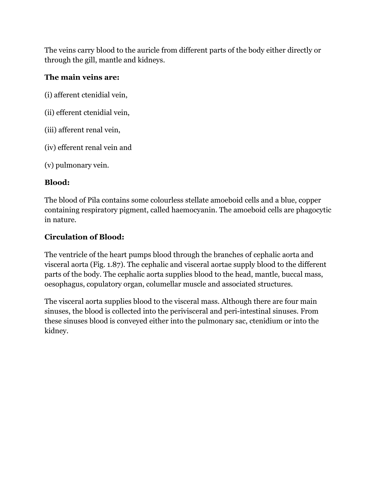The veins carry blood to the auricle from [different](https://www.notesonzoology.com/wp-content/uploads/2016/07/clip_image034_thumb2-4.jpg) parts of the body either directly or through the gill, mantle and kidneys.

## **The main veins are:**

(i) afferent ctenidial vein,

- (ii) efferent ctenidial vein,
- (iii) afferent renal vein,
- (iv) efferent renal vein and
- (v) [pulmonary](https://www.notesonzoology.com/wp-content/uploads/2016/07/clip_image032_thumb2-4.jpg) vein.

## **Blood:**

The blood of Pila contains some colourless stellate amoeboid cells and a blue, copper containing respiratory pigment, called haemocyanin. The amoeboid cells are phagocytic in nature.

# **Circulation of Blood:**

The ventricle of the heart pumps blood through the branches of cephalic aorta and visceral aorta (Fig. 1.87). The cephalic and visceral aortae supply blood to the different parts of the body. The cephalic aorta supplies blood to the head, mantle, buccal mass, oesophagus, copulatory organ, columellar muscle and associated structures.

The visceral aorta supplies blood to the visceral mass. Although there are four main sinuses, the blood is collected into the perivisceral and peri-intestinal sinuses. From these sinuses blood is conveyed either into the pulmonary sac, ctenidium or into the kidney.